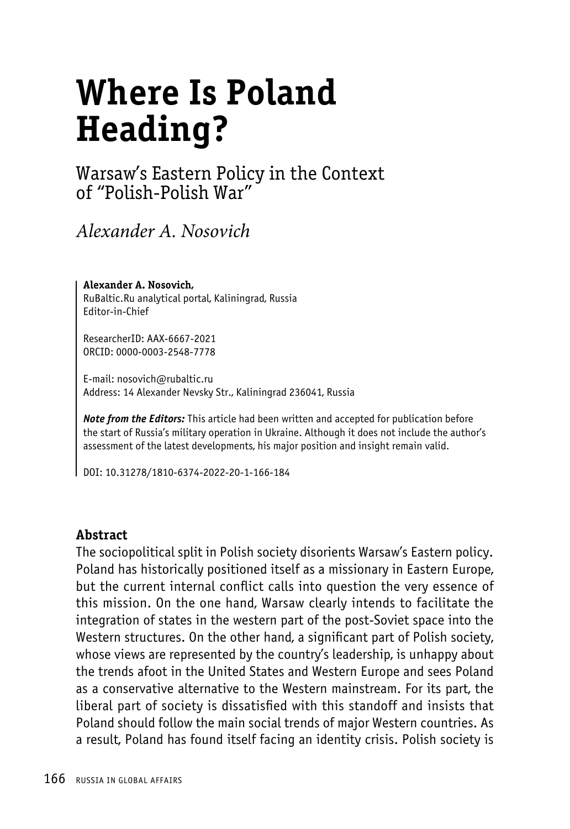# **Where Is Poland Heading?**

## Warsaw's Eastern Policy in the Context of "Polish-Polish War"

*Alexander A. Nosovich*

**Alexander A. Nosovich,** RuBaltic.Ru analytical portal, Kaliningrad, Russia Editor-in-Chief

ResearcherID: AAX-6667-2021 ORCID: 0000-0003-2548-7778

E-mail: nosovich@rubaltic.ru Address: 14 Alexander Nevsky Str., Kaliningrad 236041, Russia

*Note from the Editors:* This article had been written and accepted for publication before the start of Russia's military operation in Ukraine. Although it does not include the author's assessment of the latest developments, his major position and insight remain valid.

DOI: 10.31278/1810-6374-2022-20-1-166-184

#### **Abstract**

The sociopolitical split in Polish society disorients Warsaw's Eastern policy. Poland has historically positioned itself as a missionary in Eastern Europe, but the current internal conflict calls into question the very essence of this mission. On the one hand, Warsaw clearly intends to facilitate the integration of states in the western part of the post-Soviet space into the Western structures. On the other hand, a significant part of Polish society, whose views are represented by the country's leadership, is unhappy about the trends afoot in the United States and Western Europe and sees Poland as a conservative alternative to the Western mainstream. For its part, the liberal part of society is dissatisfied with this standoff and insists that Poland should follow the main social trends of major Western countries. As a result, Poland has found itself facing an identity crisis. Polish society is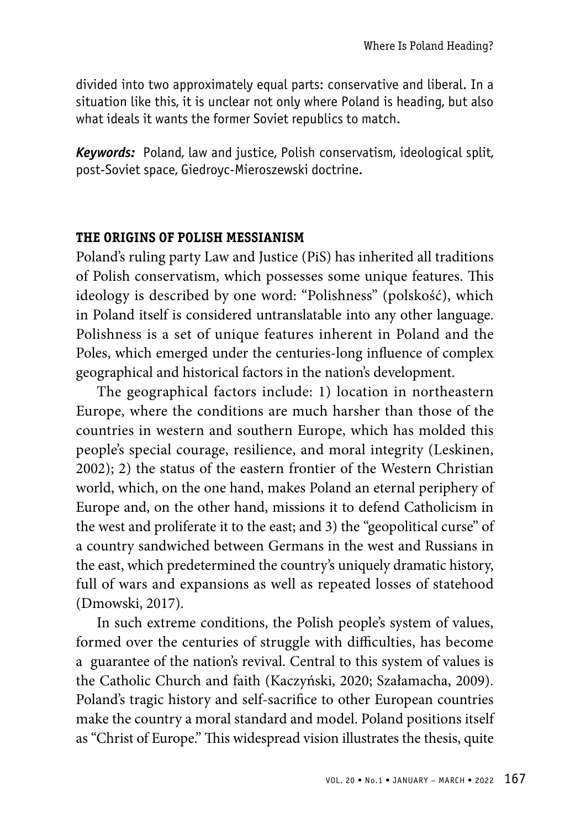divided into two approximately equal parts: conservative and liberal. In a situation like this, it is unclear not only where Poland is heading, but also what ideals it wants the former Soviet republics to match.

*Keywords:* Poland, law and justice, Polish conservatism, ideological split, post-Soviet space, Giedroyc-Mieroszewski doctrine.

#### **THE ORIGINS OF POLISH MESSIANISM**

Poland's ruling party Law and Justice (PiS) has inherited all traditions of Polish conservatism, which possesses some unique features. This ideology is described by one word: "Polishness" (polskość), which in Poland itself is considered untranslatable into any other language. Polishness is a set of unique features inherent in Poland and the Poles, which emerged under the centuries-long influence of complex geographical and historical factors in the nation's development.

The geographical factors include: 1) location in northeastern Europe, where the conditions are much harsher than those of the countries in western and southern Europe, which has molded this people's special courage, resilience, and moral integrity (Leskinen, 2002); 2) the status of the eastern frontier of the Western Christian world, which, on the one hand, makes Poland an eternal periphery of Europe and, on the other hand, missions it to defend Catholicism in the west and proliferate it to the east; and 3) the "geopolitical curse" of a country sandwiched between Germans in the west and Russians in the east, which predetermined the country's uniquely dramatic history, full of wars and expansions as well as repeated losses of statehood (Dmowski, 2017).

In such extreme conditions, the Polish people's system of values, formed over the centuries of struggle with difficulties, has become a guarantee of the nation's revival. Central to this system of values is the Catholic Church and faith (Kaczyński, 2020; Szałamacha, 2009). Poland's tragic history and self-sacrifice to other European countries make the country a moral standard and model. Poland positions itself as "Christ of Europe." This widespread vision illustrates the thesis, quite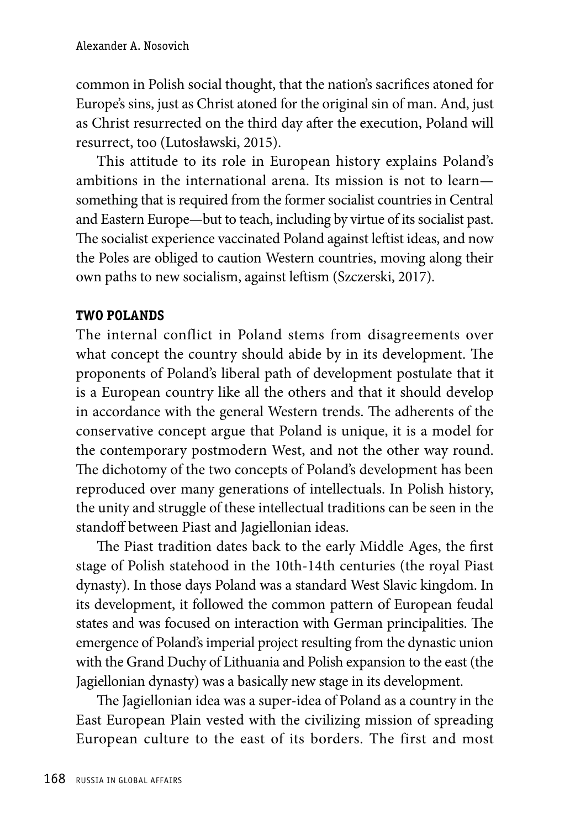common in Polish social thought, that the nation's sacrifices atoned for Europe's sins, just as Christ atoned for the original sin of man. And, just as Christ resurrected on the third day after the execution, Poland will resurrect, too (Lutosławski, 2015).

This attitude to its role in European history explains Poland's ambitions in the international arena. Its mission is not to learn something that is required from the former socialist countries in Central and Eastern Europe—but to teach, including by virtue of its socialist past. The socialist experience vaccinated Poland against leftist ideas, and now the Poles are obliged to caution Western countries, moving along their own paths to new socialism, against leftism (Szczerski, 2017).

#### **TWO POLANDS**

The internal conflict in Poland stems from disagreements over what concept the country should abide by in its development. The proponents of Poland's liberal path of development postulate that it is a European country like all the others and that it should develop in accordance with the general Western trends. The adherents of the conservative concept argue that Poland is unique, it is a model for the contemporary postmodern West, and not the other way round. The dichotomy of the two concepts of Poland's development has been reproduced over many generations of intellectuals. In Polish history, the unity and struggle of these intellectual traditions can be seen in the standoff between Piast and Jagiellonian ideas.

The Piast tradition dates back to the early Middle Ages, the first stage of Polish statehood in the 10th-14th centuries (the royal Piast dynasty). In those days Poland was a standard West Slavic kingdom. In its development, it followed the common pattern of European feudal states and was focused on interaction with German principalities. The emergence of Poland's imperial project resulting from the dynastic union with the Grand Duchy of Lithuania and Polish expansion to the east (the Jagiellonian dynasty) was a basically new stage in its development.

The Jagiellonian idea was a super-idea of Poland as a country in the East European Plain vested with the civilizing mission of spreading European culture to the east of its borders. The first and most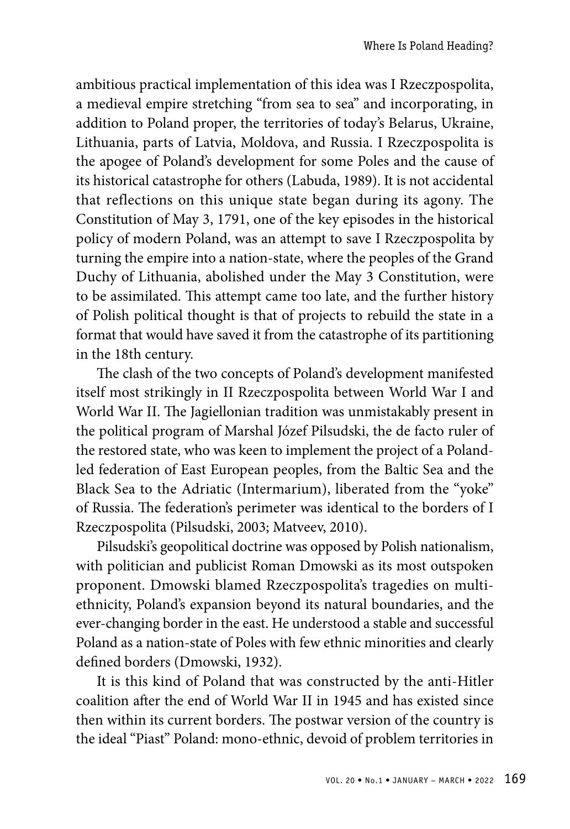ambitious practical implementation of this idea was I Rzeczpospolita, a medieval empire stretching "from sea to sea" and incorporating, in addition to Poland proper, the territories of today's Belarus, Ukraine, Lithuania, parts of Latvia, Moldova, and Russia. I Rzeczpospolita is the apogee of Poland's development for some Poles and the cause of its historical catastrophe for others (Labuda, 1989). It is not accidental that reflections on this unique state began during its agony. The Constitution of May 3, 1791, one of the key episodes in the historical policy of modern Poland, was an attempt to save I Rzeczpospolita by turning the empire into a nation-state, where the peoples of the Grand Duchy of Lithuania, abolished under the May 3 Constitution, were to be assimilated. This attempt came too late, and the further history of Polish political thought is that of projects to rebuild the state in a format that would have saved it from the catastrophe of its partitioning in the 18th century.

The clash of the two concepts of Poland's development manifested itself most strikingly in II Rzeczpospolita between World War I and World War II. The Jagiellonian tradition was unmistakably present in the political program of Marshal Józef Pilsudski, the de facto ruler of the restored state, who was keen to implement the project of a Polandled federation of East European peoples, from the Baltic Sea and the Black Sea to the Adriatic (Intermarium), liberated from the "yoke" of Russia. The federation's perimeter was identical to the borders of I Rzeczpospolita (Pilsudski, 2003; Matveev, 2010).

Pilsudski's geopolitical doctrine was opposed by Polish nationalism, with politician and publicist Roman Dmowski as its most outspoken proponent. Dmowski blamed Rzeczpospolita's tragedies on multiethnicity, Poland's expansion beyond its natural boundaries, and the ever-changing border in the east. He understood a stable and successful Poland as a nation-state of Poles with few ethnic minorities and clearly defined borders (Dmowski, 1932).

It is this kind of Poland that was constructed by the anti-Hitler coalition after the end of World War II in 1945 and has existed since then within its current borders. The postwar version of the country is the ideal "Piast" Poland: mono-ethnic, devoid of problem territories in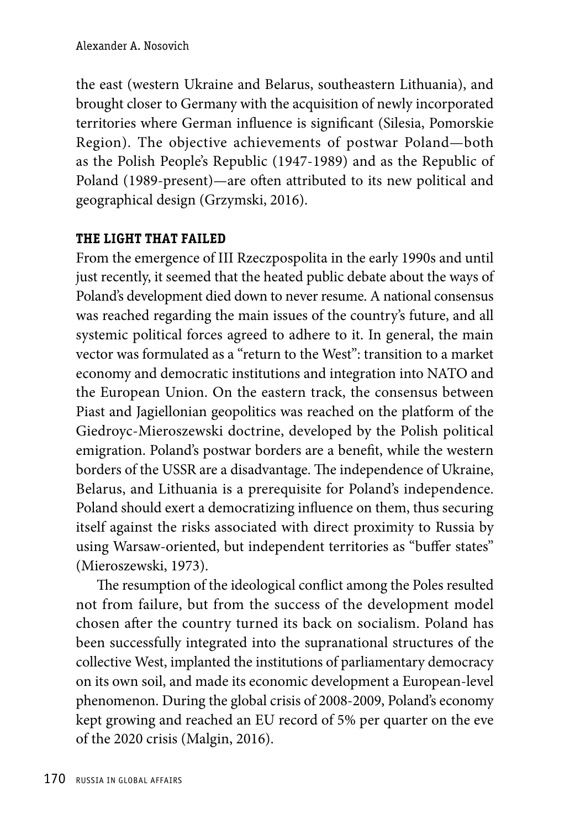the east (western Ukraine and Belarus, southeastern Lithuania), and brought closer to Germany with the acquisition of newly incorporated territories where German influence is significant (Silesia, Pomorskie Region). The objective achievements of postwar Poland—both as the Polish People's Republic (1947-1989) and as the Republic of Poland (1989-present)—are often attributed to its new political and geographical design (Grzymski, 2016).

#### **THE LIGHT THAT FAILED**

From the emergence of III Rzeczpospolita in the early 1990s and until just recently, it seemed that the heated public debate about the ways of Poland's development died down to never resume. A national consensus was reached regarding the main issues of the country's future, and all systemic political forces agreed to adhere to it. In general, the main vector was formulated as a "return to the West": transition to a market economy and democratic institutions and integration into NATO and the European Union. On the eastern track, the consensus between Piast and Jagiellonian geopolitics was reached on the platform of the Giedroyc-Mieroszewski doctrine, developed by the Polish political emigration. Poland's postwar borders are a benefit, while the western borders of the USSR are a disadvantage. The independence of Ukraine, Belarus, and Lithuania is a prerequisite for Poland's independence. Poland should exert a democratizing influence on them, thus securing itself against the risks associated with direct proximity to Russia by using Warsaw-oriented, but independent territories as "buffer states" (Mieroszewski, 1973).

The resumption of the ideological conflict among the Poles resulted not from failure, but from the success of the development model chosen after the country turned its back on socialism. Poland has been successfully integrated into the supranational structures of the collective West, implanted the institutions of parliamentary democracy on its own soil, and made its economic development a European-level phenomenon. During the global crisis of 2008-2009, Poland's economy kept growing and reached an EU record of 5% per quarter on the eve of the 2020 crisis (Malgin, 2016).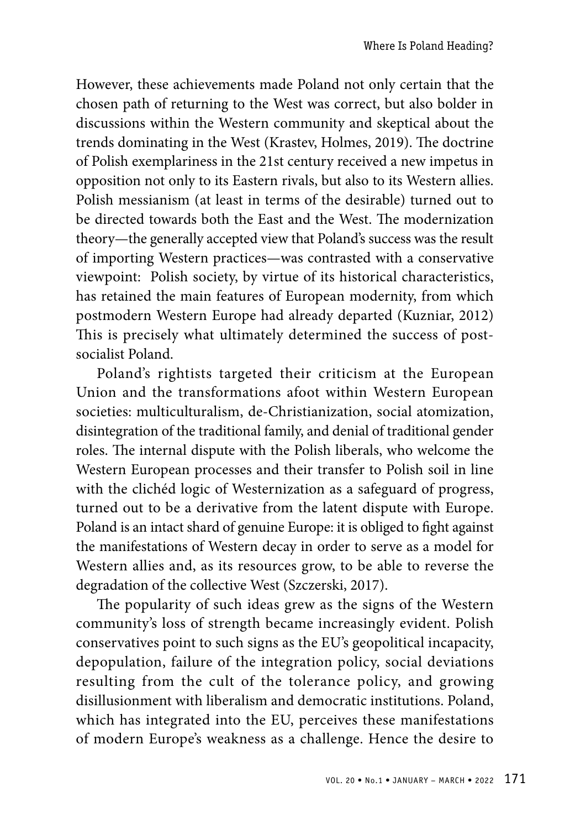However, these achievements made Poland not only certain that the chosen path of returning to the West was correct, but also bolder in discussions within the Western community and skeptical about the trends dominating in the West (Krastev, Holmes, 2019). The doctrine of Polish exemplariness in the 21st century received a new impetus in opposition not only to its Eastern rivals, but also to its Western allies. Polish messianism (at least in terms of the desirable) turned out to be directed towards both the East and the West. The modernization theory—the generally accepted view that Poland's success was the result of importing Western practices—was contrasted with a conservative viewpoint: Polish society, by virtue of its historical characteristics, has retained the main features of European modernity, from which postmodern Western Europe had already departed (Kuzniar, 2012) This is precisely what ultimately determined the success of postsocialist Poland.

Poland's rightists targeted their criticism at the European Union and the transformations afoot within Western European societies: multiculturalism, de-Christianization, social atomization, disintegration of the traditional family, and denial of traditional gender roles. The internal dispute with the Polish liberals, who welcome the Western European processes and their transfer to Polish soil in line with the clichéd logic of Westernization as a safeguard of progress, turned out to be a derivative from the latent dispute with Europe. Poland is an intact shard of genuine Europe: it is obliged to fight against the manifestations of Western decay in order to serve as a model for Western allies and, as its resources grow, to be able to reverse the degradation of the collective West (Szczerski, 2017).

The popularity of such ideas grew as the signs of the Western community's loss of strength became increasingly evident. Polish conservatives point to such signs as the EU's geopolitical incapacity, depopulation, failure of the integration policy, social deviations resulting from the cult of the tolerance policy, and growing disillusionment with liberalism and democratic institutions. Poland, which has integrated into the EU, perceives these manifestations of modern Europe's weakness as a challenge. Hence the desire to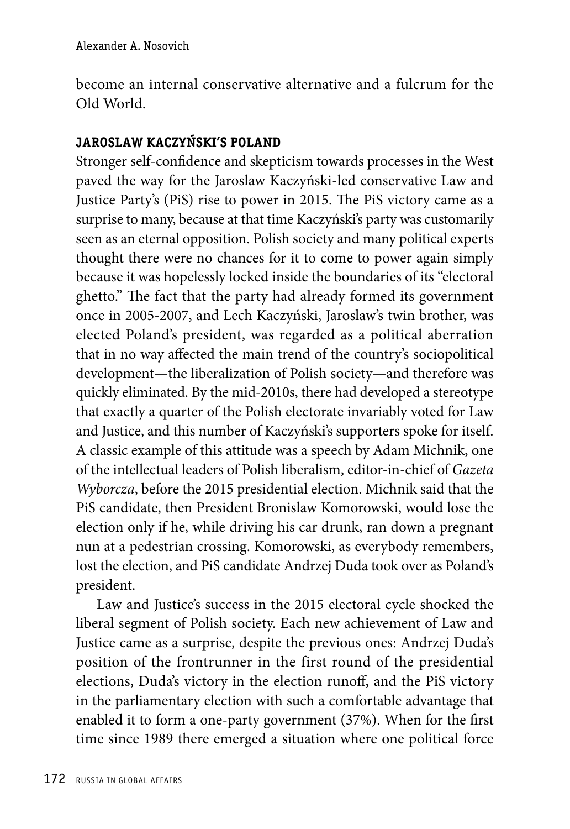become an internal conservative alternative and a fulcrum for the Old World.

## **JAROSLAW KACZYŃSKI'S POLAND**

Stronger self-confidence and skepticism towards processes in the West paved the way for the Jaroslaw Kaczyński-led conservative Law and Justice Party's (PiS) rise to power in 2015. The PiS victory came as a surprise to many, because at that time Kaczyński's party was customarily seen as an eternal opposition. Polish society and many political experts thought there were no chances for it to come to power again simply because it was hopelessly locked inside the boundaries of its "electoral ghetto." The fact that the party had already formed its government once in 2005-2007, and Lech Kaczyński, Jaroslaw's twin brother, was elected Poland's president, was regarded as a political aberration that in no way affected the main trend of the country's sociopolitical development—the liberalization of Polish society—and therefore was quickly eliminated. By the mid-2010s, there had developed a stereotype that exactly a quarter of the Polish electorate invariably voted for Law and Justice, and this number of Kaczyński's supporters spoke for itself. A classic example of this attitude was a speech by Adam Michnik, one of the intellectual leaders of Polish liberalism, editor-in-chief of *Gazeta Wyborcza*, before the 2015 presidential election. Michnik said that the PiS candidate, then President Bronislaw Komorowski, would lose the election only if he, while driving his car drunk, ran down a pregnant nun at a pedestrian crossing. Komorowski, as everybody remembers, lost the election, and PiS candidate Andrzej Duda took over as Poland's president.

Law and Justice's success in the 2015 electoral cycle shocked the liberal segment of Polish society. Each new achievement of Law and Justice came as a surprise, despite the previous ones: Andrzej Duda's position of the frontrunner in the first round of the presidential elections, Duda's victory in the election runoff, and the PiS victory in the parliamentary election with such a comfortable advantage that enabled it to form a one-party government (37%). When for the first time since 1989 there emerged a situation where one political force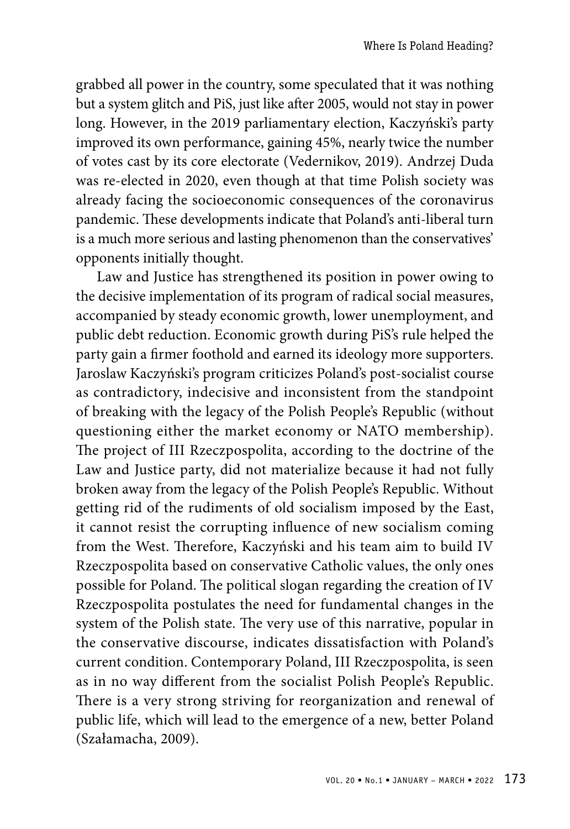grabbed all power in the country, some speculated that it was nothing but a system glitch and PiS, just like after 2005, would not stay in power long. However, in the 2019 parliamentary election, Kaczyński's party improved its own performance, gaining 45%, nearly twice the number of votes cast by its core electorate (Vedernikov, 2019). Andrzej Duda was re-elected in 2020, even though at that time Polish society was already facing the socioeconomic consequences of the coronavirus pandemic. These developments indicate that Poland's anti-liberal turn is a much more serious and lasting phenomenon than the conservatives' opponents initially thought.

Law and Justice has strengthened its position in power owing to the decisive implementation of its program of radical social measures, accompanied by steady economic growth, lower unemployment, and public debt reduction. Economic growth during PiS's rule helped the party gain a firmer foothold and earned its ideology more supporters. Jaroslaw Kaczyński's program criticizes Poland's post-socialist course as contradictory, indecisive and inconsistent from the standpoint of breaking with the legacy of the Polish People's Republic (without questioning either the market economy or NATO membership). The project of III Rzeczpospolita, according to the doctrine of the Law and Justice party, did not materialize because it had not fully broken away from the legacy of the Polish People's Republic. Without getting rid of the rudiments of old socialism imposed by the East, it cannot resist the corrupting influence of new socialism coming from the West. Therefore, Kaczyński and his team aim to build IV Rzeczpospolita based on conservative Catholic values, the only ones possible for Poland. The political slogan regarding the creation of IV Rzeczpospolita postulates the need for fundamental changes in the system of the Polish state. The very use of this narrative, popular in the conservative discourse, indicates dissatisfaction with Poland's current condition. Contemporary Poland, III Rzeczpospolita, is seen as in no way different from the socialist Polish People's Republic. There is a very strong striving for reorganization and renewal of public life, which will lead to the emergence of a new, better Poland (Szałamacha, 2009).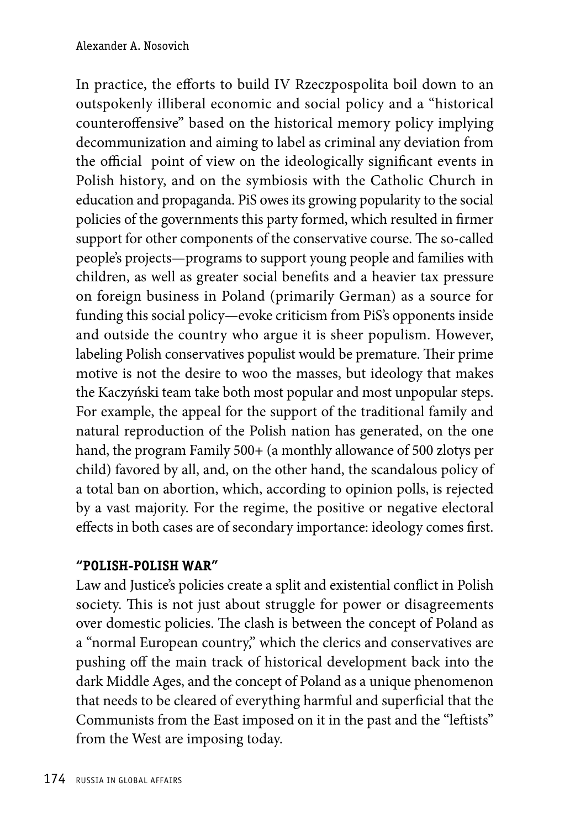In practice, the efforts to build IV Rzeczpospolita boil down to an outspokenly illiberal economic and social policy and a "historical counteroffensive" based on the historical memory policy implying decommunization and aiming to label as criminal any deviation from the official point of view on the ideologically significant events in Polish history, and on the symbiosis with the Catholic Church in education and propaganda. PiS owes its growing popularity to the social policies of the governments this party formed, which resulted in firmer support for other components of the conservative course. The so-called people's projects—programs to support young people and families with children, as well as greater social benefits and a heavier tax pressure on foreign business in Poland (primarily German) as a source for funding this social policy—evoke criticism from PiS's opponents inside and outside the country who argue it is sheer populism. However, labeling Polish conservatives populist would be premature. Their prime motive is not the desire to woo the masses, but ideology that makes the Kaczyński team take both most popular and most unpopular steps. For example, the appeal for the support of the traditional family and natural reproduction of the Polish nation has generated, on the one hand, the program Family 500+ (a monthly allowance of 500 zlotys per child) favored by all, and, on the other hand, the scandalous policy of a total ban on abortion, which, according to opinion polls, is rejected by a vast majority. For the regime, the positive or negative electoral effects in both cases are of secondary importance: ideology comes first.

## **"POLISH-POLISH WAR"**

Law and Justice's policies create a split and existential conflict in Polish society. This is not just about struggle for power or disagreements over domestic policies. The clash is between the concept of Poland as a "normal European country," which the clerics and conservatives are pushing off the main track of historical development back into the dark Middle Ages, and the concept of Poland as a unique phenomenon that needs to be cleared of everything harmful and superficial that the Communists from the East imposed on it in the past and the "leftists" from the West are imposing today.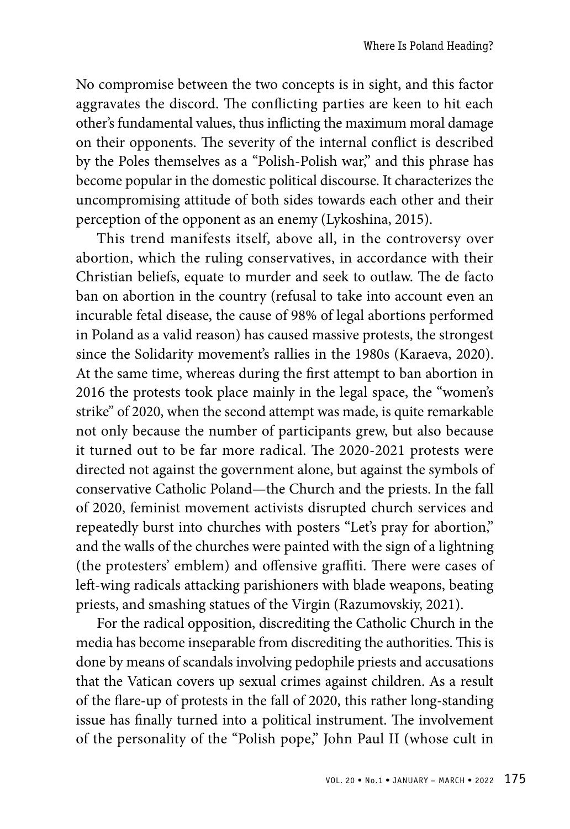No compromise between the two concepts is in sight, and this factor aggravates the discord. The conflicting parties are keen to hit each other's fundamental values, thus inflicting the maximum moral damage on their opponents. The severity of the internal conflict is described by the Poles themselves as a "Polish-Polish war," and this phrase has become popular in the domestic political discourse. It characterizes the uncompromising attitude of both sides towards each other and their perception of the opponent as an enemy (Lykoshina, 2015).

This trend manifests itself, above all, in the controversy over abortion, which the ruling conservatives, in accordance with their Christian beliefs, equate to murder and seek to outlaw. The de facto ban on abortion in the country (refusal to take into account even an incurable fetal disease, the cause of 98% of legal abortions performed in Poland as a valid reason) has caused massive protests, the strongest since the Solidarity movement's rallies in the 1980s (Karaeva, 2020). At the same time, whereas during the first attempt to ban abortion in 2016 the protests took place mainly in the legal space, the "women's strike" of 2020, when the second attempt was made, is quite remarkable not only because the number of participants grew, but also because it turned out to be far more radical. The 2020-2021 protests were directed not against the government alone, but against the symbols of conservative Catholic Poland—the Church and the priests. In the fall of 2020, feminist movement activists disrupted church services and repeatedly burst into churches with posters "Let's pray for abortion," and the walls of the churches were painted with the sign of a lightning (the protesters' emblem) and offensive graffiti. There were cases of left-wing radicals attacking parishioners with blade weapons, beating priests, and smashing statues of the Virgin (Razumovskiy, 2021).

For the radical opposition, discrediting the Catholic Church in the media has become inseparable from discrediting the authorities. This is done by means of scandals involving pedophile priests and accusations that the Vatican covers up sexual crimes against children. As a result of the flare-up of protests in the fall of 2020, this rather long-standing issue has finally turned into a political instrument. The involvement of the personality of the "Polish pope," John Paul II (whose cult in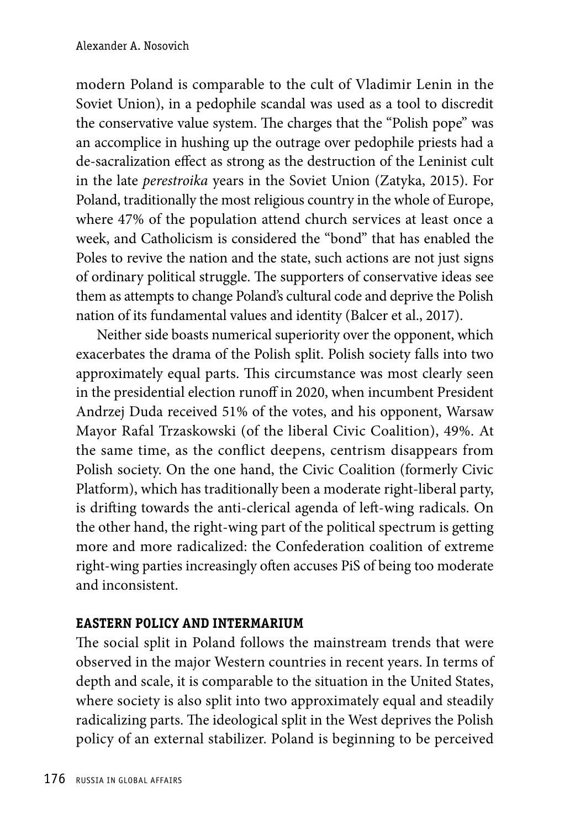modern Poland is comparable to the cult of Vladimir Lenin in the Soviet Union), in a pedophile scandal was used as a tool to discredit the conservative value system. The charges that the "Polish pope" was an accomplice in hushing up the outrage over pedophile priests had a de-sacralization effect as strong as the destruction of the Leninist cult in the late *perestroika* years in the Soviet Union (Zatyka, 2015). For Poland, traditionally the most religious country in the whole of Europe, where 47% of the population attend church services at least once a week, and Catholicism is considered the "bond" that has enabled the Poles to revive the nation and the state, such actions are not just signs of ordinary political struggle. The supporters of conservative ideas see them as attempts to change Poland's cultural code and deprive the Polish nation of its fundamental values and identity (Balcer et al., 2017).

Neither side boasts numerical superiority over the opponent, which exacerbates the drama of the Polish split. Polish society falls into two approximately equal parts. This circumstance was most clearly seen in the presidential election runoff in 2020, when incumbent President Andrzej Duda received 51% of the votes, and his opponent, Warsaw Mayor Rafal Trzaskowski (of the liberal Civic Coalition), 49%. At the same time, as the conflict deepens, centrism disappears from Polish society. On the one hand, the Civic Coalition (formerly Civic Platform), which has traditionally been a moderate right-liberal party, is drifting towards the anti-clerical agenda of left-wing radicals. On the other hand, the right-wing part of the political spectrum is getting more and more radicalized: the Confederation coalition of extreme right-wing parties increasingly often accuses PiS of being too moderate and inconsistent.

## **EASTERN POLICY AND INTERMARIUM**

The social split in Poland follows the mainstream trends that were observed in the major Western countries in recent years. In terms of depth and scale, it is comparable to the situation in the United States, where society is also split into two approximately equal and steadily radicalizing parts. The ideological split in the West deprives the Polish policy of an external stabilizer. Poland is beginning to be perceived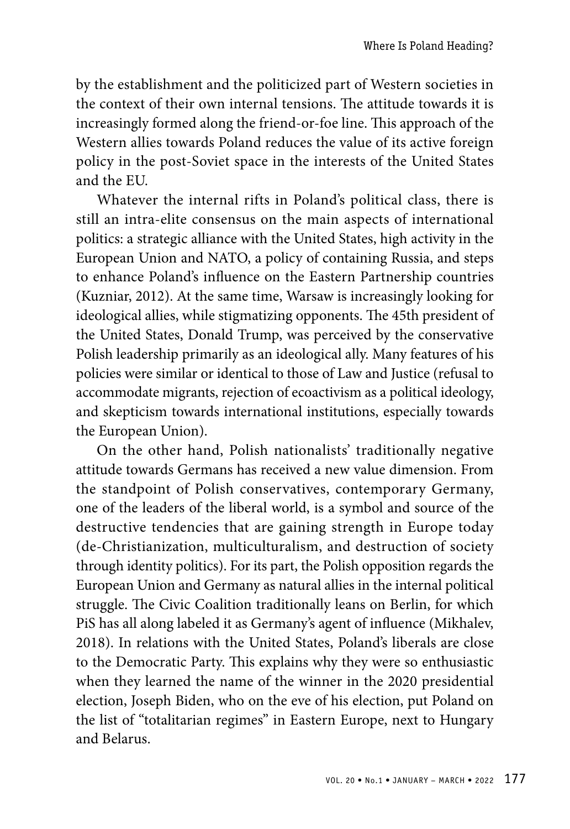by the establishment and the politicized part of Western societies in the context of their own internal tensions. The attitude towards it is increasingly formed along the friend-or-foe line. This approach of the Western allies towards Poland reduces the value of its active foreign policy in the post-Soviet space in the interests of the United States and the EU.

Whatever the internal rifts in Poland's political class, there is still an intra-elite consensus on the main aspects of international politics: a strategic alliance with the United States, high activity in the European Union and NATO, a policy of containing Russia, and steps to enhance Poland's influence on the Eastern Partnership countries (Kuzniar, 2012). At the same time, Warsaw is increasingly looking for ideological allies, while stigmatizing opponents. The 45th president of the United States, Donald Trump, was perceived by the conservative Polish leadership primarily as an ideological ally. Many features of his policies were similar or identical to those of Law and Justice (refusal to accommodate migrants, rejection of ecoactivism as a political ideology, and skepticism towards international institutions, especially towards the European Union).

On the other hand, Polish nationalists' traditionally negative attitude towards Germans has received a new value dimension. From the standpoint of Polish conservatives, contemporary Germany, one of the leaders of the liberal world, is a symbol and source of the destructive tendencies that are gaining strength in Europe today (de-Christianization, multiculturalism, and destruction of society through identity politics). For its part, the Polish opposition regards the European Union and Germany as natural allies in the internal political struggle. The Civic Coalition traditionally leans on Berlin, for which PiS has all along labeled it as Germany's agent of influence (Mikhalev, 2018). In relations with the United States, Poland's liberals are close to the Democratic Party. This explains why they were so enthusiastic when they learned the name of the winner in the 2020 presidential election, Joseph Biden, who on the eve of his election, put Poland on the list of "totalitarian regimes" in Eastern Europe, next to Hungary and Belarus.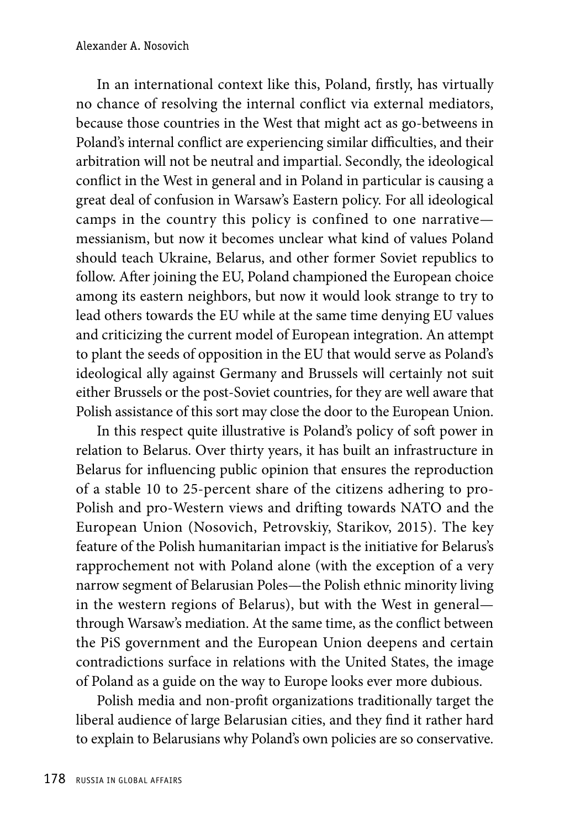In an international context like this, Poland, firstly, has virtually no chance of resolving the internal conflict via external mediators, because those countries in the West that might act as go-betweens in Poland's internal conflict are experiencing similar difficulties, and their arbitration will not be neutral and impartial. Secondly, the ideological conflict in the West in general and in Poland in particular is causing a great deal of confusion in Warsaw's Eastern policy. For all ideological camps in the country this policy is confined to one narrative messianism, but now it becomes unclear what kind of values Poland should teach Ukraine, Belarus, and other former Soviet republics to follow. After joining the EU, Poland championed the European choice among its eastern neighbors, but now it would look strange to try to lead others towards the EU while at the same time denying EU values and criticizing the current model of European integration. An attempt to plant the seeds of opposition in the EU that would serve as Poland's ideological ally against Germany and Brussels will certainly not suit either Brussels or the post-Soviet countries, for they are well aware that Polish assistance of this sort may close the door to the European Union.

In this respect quite illustrative is Poland's policy of soft power in relation to Belarus. Over thirty years, it has built an infrastructure in Belarus for influencing public opinion that ensures the reproduction of a stable 10 to 25-percent share of the citizens adhering to pro-Polish and pro-Western views and drifting towards NATO and the European Union (Nosovich, Petrovskiy, Starikov, 2015). The key feature of the Polish humanitarian impact is the initiative for Belarus's rapprochement not with Poland alone (with the exception of a very narrow segment of Belarusian Poles—the Polish ethnic minority living in the western regions of Belarus), but with the West in general through Warsaw's mediation. At the same time, as the conflict between the PiS government and the European Union deepens and certain contradictions surface in relations with the United States, the image of Poland as a guide on the way to Europe looks ever more dubious.

Polish media and non-profit organizations traditionally target the liberal audience of large Belarusian cities, and they find it rather hard to explain to Belarusians why Poland's own policies are so conservative.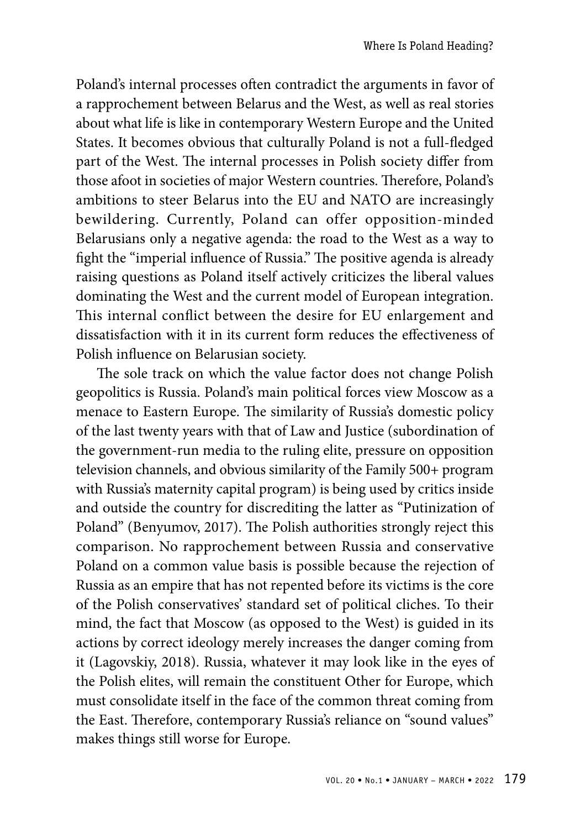Poland's internal processes often contradict the arguments in favor of a rapprochement between Belarus and the West, as well as real stories about what life is like in contemporary Western Europe and the United States. It becomes obvious that culturally Poland is not a full-fledged part of the West. The internal processes in Polish society differ from those afoot in societies of major Western countries. Therefore, Poland's ambitions to steer Belarus into the EU and NATO are increasingly bewildering. Currently, Poland can offer opposition-minded Belarusians only a negative agenda: the road to the West as a way to fight the "imperial influence of Russia." The positive agenda is already raising questions as Poland itself actively criticizes the liberal values dominating the West and the current model of European integration. This internal conflict between the desire for EU enlargement and dissatisfaction with it in its current form reduces the effectiveness of Polish influence on Belarusian society.

The sole track on which the value factor does not change Polish geopolitics is Russia. Poland's main political forces view Moscow as a menace to Eastern Europe. The similarity of Russia's domestic policy of the last twenty years with that of Law and Justice (subordination of the government-run media to the ruling elite, pressure on opposition television channels, and obvious similarity of the Family 500+ program with Russia's maternity capital program) is being used by critics inside and outside the country for discrediting the latter as "Putinization of Poland" (Benyumov, 2017). The Polish authorities strongly reject this comparison. No rapprochement between Russia and conservative Poland on a common value basis is possible because the rejection of Russia as an empire that has not repented before its victims is the core of the Polish conservatives' standard set of political cliches. To their mind, the fact that Moscow (as opposed to the West) is guided in its actions by correct ideology merely increases the danger coming from it (Lagovskiy, 2018). Russia, whatever it may look like in the eyes of the Polish elites, will remain the constituent Other for Europe, which must consolidate itself in the face of the common threat coming from the East. Therefore, contemporary Russia's reliance on "sound values" makes things still worse for Europe.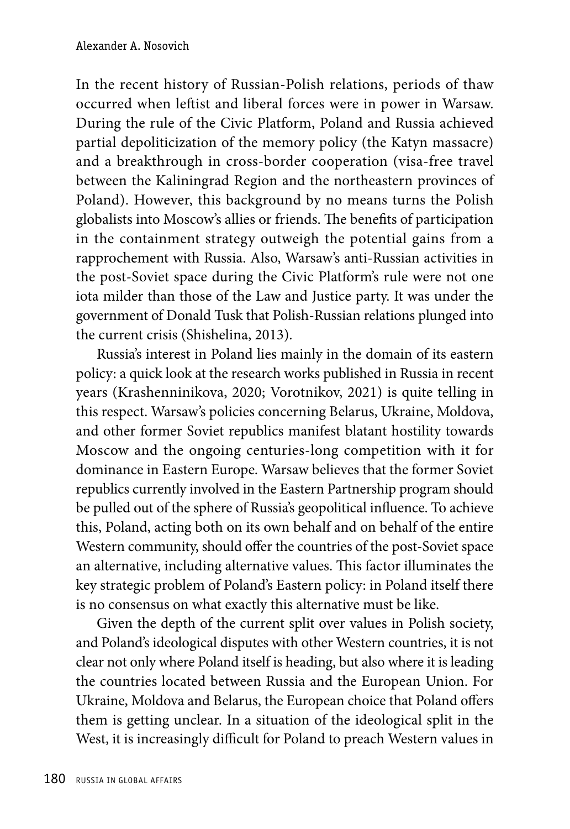In the recent history of Russian-Polish relations, periods of thaw occurred when leftist and liberal forces were in power in Warsaw. During the rule of the Civic Platform, Poland and Russia achieved partial depoliticization of the memory policy (the Katyn massacre) and a breakthrough in cross-border cooperation (visa-free travel between the Kaliningrad Region and the northeastern provinces of Poland). However, this background by no means turns the Polish globalists into Moscow's allies or friends. The benefits of participation in the containment strategy outweigh the potential gains from a rapprochement with Russia. Also, Warsaw's anti-Russian activities in the post-Soviet space during the Civic Platform's rule were not one iota milder than those of the Law and Justice party. It was under the government of Donald Tusk that Polish-Russian relations plunged into the current crisis (Shishelina, 2013).

Russia's interest in Poland lies mainly in the domain of its eastern policy: a quick look at the research works published in Russia in recent years (Krashenninikova, 2020; Vorotnikov, 2021) is quite telling in this respect. Warsaw's policies concerning Belarus, Ukraine, Moldova, and other former Soviet republics manifest blatant hostility towards Moscow and the ongoing centuries-long competition with it for dominance in Eastern Europe. Warsaw believes that the former Soviet republics currently involved in the Eastern Partnership program should be pulled out of the sphere of Russia's geopolitical influence. To achieve this, Poland, acting both on its own behalf and on behalf of the entire Western community, should offer the countries of the post-Soviet space an alternative, including alternative values. This factor illuminates the key strategic problem of Poland's Eastern policy: in Poland itself there is no consensus on what exactly this alternative must be like.

Given the depth of the current split over values in Polish society, and Poland's ideological disputes with other Western countries, it is not clear not only where Poland itself is heading, but also where it is leading the countries located between Russia and the European Union. For Ukraine, Moldova and Belarus, the European choice that Poland offers them is getting unclear. In a situation of the ideological split in the West, it is increasingly difficult for Poland to preach Western values in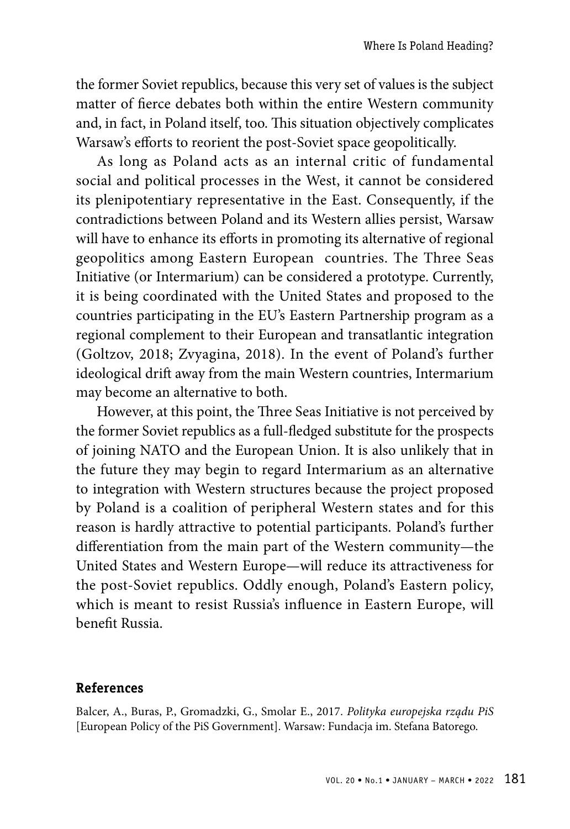the former Soviet republics, because this very set of values is the subject matter of fierce debates both within the entire Western community and, in fact, in Poland itself, too. This situation objectively complicates Warsaw's efforts to reorient the post-Soviet space geopolitically.

As long as Poland acts as an internal critic of fundamental social and political processes in the West, it cannot be considered its plenipotentiary representative in the East. Consequently, if the contradictions between Poland and its Western allies persist, Warsaw will have to enhance its efforts in promoting its alternative of regional geopolitics among Eastern European countries. The Three Seas Initiative (or Intermarium) can be considered a prototype. Currently, it is being coordinated with the United States and proposed to the countries participating in the EU's Eastern Partnership program as a regional complement to their European and transatlantic integration (Goltzov, 2018; Zvyagina, 2018). In the event of Poland's further ideological drift away from the main Western countries, Intermarium may become an alternative to both.

However, at this point, the Three Seas Initiative is not perceived by the former Soviet republics as a full-fledged substitute for the prospects of joining NATO and the European Union. It is also unlikely that in the future they may begin to regard Intermarium as an alternative to integration with Western structures because the project proposed by Poland is a coalition of peripheral Western states and for this reason is hardly attractive to potential participants. Poland's further differentiation from the main part of the Western community—the United States and Western Europe—will reduce its attractiveness for the post-Soviet republics. Oddly enough, Poland's Eastern policy, which is meant to resist Russia's influence in Eastern Europe, will benefit Russia.

#### **References**

Balcer, A., Buras, P., Gromadzki, G., Smolar E., 2017. *Polityka europejska rządu PiS* [European Policy of the PiS Government]. Warsaw: Fundacja im. Stefana Batorego.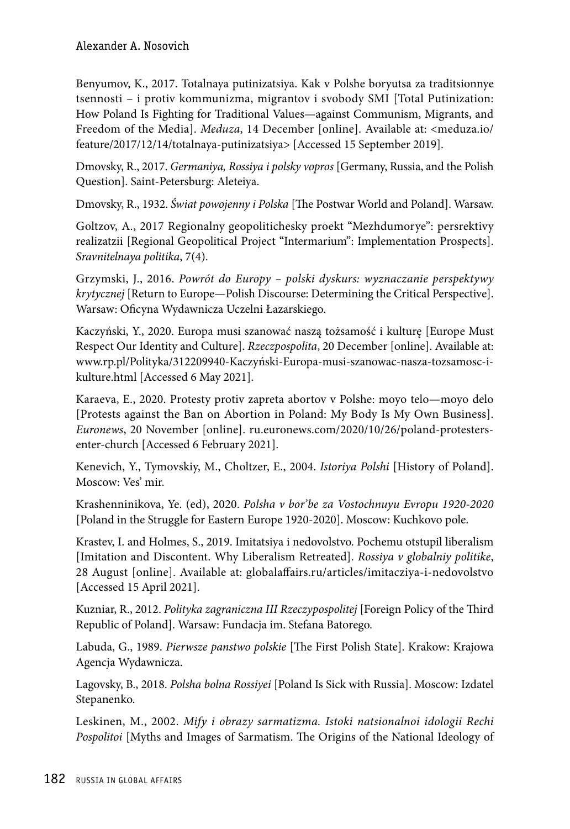Benyumov, K., 2017. Totalnaya putinizatsiya. Kak v Polshe boryutsa za traditsionnye tsennosti – i protiv kommunizma, migrantov i svobody SMI [Total Putinization: How Poland Is Fighting for Traditional Values—against Communism, Migrants, and Freedom of the Media]. *Meduza*, 14 December [online]. Available at: <meduza.io/ feature/2017/12/14/totalnaya-putinizatsiya> [Accessed 15 September 2019].

Dmovsky, R., 2017. *Germaniya, Rossiya i polsky vopros* [Germany, Russia, and the Polish Question]. Saint-Petersburg: Aleteiya.

Dmovsky, R., 1932. *Świat powojenny i Polska* [The Postwar World and Poland]. Warsaw.

Goltzov, A., 2017 Regionalny geopolitichesky proekt "Mezhdumorye": persrektivy realizatzii [Regional Geopolitical Project "Intermarium": Implementation Prospects]. *Sravnitelnaya politika*, 7(4).

Grzymski, J., 2016. *Powrót do Europy – polski dyskurs: wyznaczanie perspektywy krytycznej* [Return to Europe—Polish Discourse: Determining the Critical Perspective]. Warsaw: Oficyna Wydawnicza Uczelni Łazarskiego.

Kaczyński, Y., 2020. Europa musi szanować naszą tożsamość i kulturę [Europe Must Respect Our Identity and Culture]. *Rzeczpospolita*, 20 December [online]. Available at: www.rp.pl/Polityka/312209940-Kaczyński-Europa-musi-szanowac-nasza-tozsamosc-ikulture.html [Accessed 6 May 2021].

Karaeva, E., 2020. Protesty protiv zapreta abortov v Polshe: moyo telo—moyo delo [Protests against the Ban on Abortion in Poland: My Body Is My Own Business]. *Euronews*, 20 November [online]. ru.euronews.com/2020/10/26/poland-protestersenter-church [Accessed 6 February 2021].

Kenevich, Y., Tymovskiy, M., Choltzer, E., 2004. *Istoriya Polshi* [History of Poland]. Moscow: Ves' mir.

Krashenninikova, Ye. (ed), 2020. *Polsha v bor'be za Vostochnuyu Evropu 1920-2020* [Poland in the Struggle for Eastern Europe 1920-2020]. Moscow: Kuchkovo pole.

Krastev, I. and Holmes, S., 2019. Imitatsiya i nedovolstvo. Pochemu otstupil liberalism [Imitation and Discontent. Why Liberalism Retreated]. *Rossiya v globalniy politike*, 28 August [online]. Available at: globalaffairs.ru/articles/imitacziya-i-nedovolstvo [Accessed 15 April 2021].

Kuzniar, R., 2012. *Polityka zagraniczna III Rzeczypospolitej* [Foreign Policy of the Third Republic of Poland]. Warsaw: Fundacja im. Stefana Batorego.

Labuda, G., 1989. *Pierwsze panstwo polskie* [The First Polish State]. Krakow: Krajowa Agencja Wydawnicza.

Lagovsky, B., 2018. *Polsha bolna Rossiyei* [Poland Is Sick with Russia]. Moscow: Izdatel Stepanenko.

Leskinen, M., 2002. *Mify i obrazy sarmatizma. Istoki natsionalnoi idologii Rechi Pospolitoi* [Myths and Images of Sarmatism. The Origins of the National Ideology of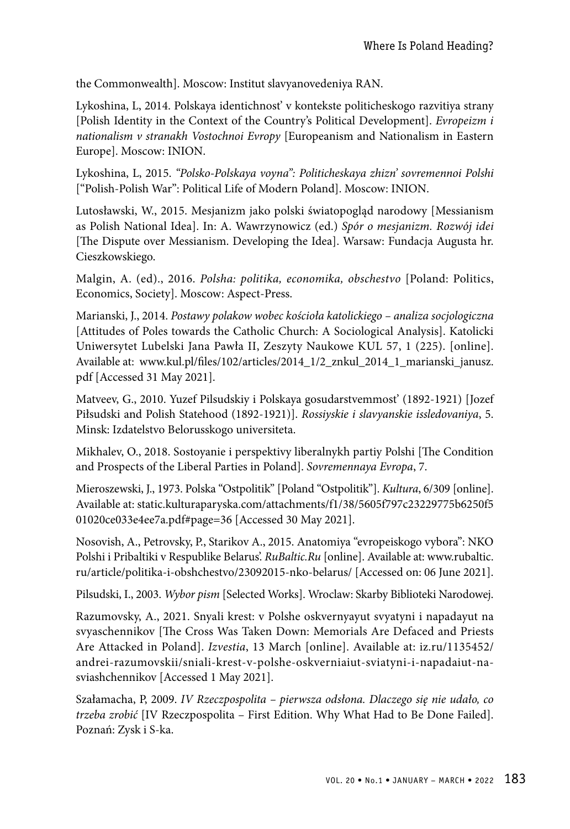the Commonwealth]. Moscow: Institut slavyanovedeniya RAN.

Lykoshina, L, 2014. Polskaya identichnost' v kontekste politicheskogo razvitiya strany [Polish Identity in the Context of the Country's Political Development]. *Evropeizm i nationalism v stranakh Vostochnoi Evropy* [Europeanism and Nationalism in Eastern Europe]. Moscow: INION.

Lykoshina, L, 2015. *"Polsko-Polskaya voyna": Politicheskaya zhizn' sovremennoi Polshi* ["Polish-Polish War": Political Life of Modern Poland]. Moscow: INION.

Lutosławski, W., 2015. Mesjanizm jako polski światopogląd narodowy [Messianism as Polish National Idea]. In: A. Wawrzynowicz (ed.) *Spór o mesjanizm. Rozwój idei*  [The Dispute over Messianism. Developing the Idea]. Warsaw: Fundacja Augusta hr. Cieszkowskiego.

Malgin, A. (ed)., 2016. *Polsha: politika, economika, obschestvo* [Poland: Politics, Economics, Society]. Moscow: Aspect-Press.

Marianski, J., 2014. *Postawy polakow wobec kościoła katolickiego – analiza socjologiczna* [Attitudes of Poles towards the Catholic Church: A Sociological Analysis]. Katolicki Uniwersytet Lubelski Jana Pawła II, Zeszyty Naukowe KUL 57, 1 (225). [online]. Available at: www.kul.pl/files/102/articles/2014\_1/2\_znkul\_2014\_1\_marianski\_janusz. pdf [Accessed 31 May 2021].

Matveev, G., 2010. Yuzef Pilsudskiy i Polskaya gosudarstvemmost' (1892-1921) [Jozef Piłsudski and Polish Statehood (1892-1921)]. *Rossiyskie i slavyanskie issledovaniya*, 5. Minsk: Izdatelstvo Belorusskogo universiteta.

Mikhalev, O., 2018. Sostoyanie i perspektivy liberalnykh partiy Polshi [The Condition and Prospects of the Liberal Parties in Poland]. *Sovremennaya Evropa*, 7.

Mieroszewski, J., 1973. Polska "Ostpolitik" [Poland "Ostpolitik"]. *Kultura*, 6/309 [online]. Available at: static.kulturaparyska.com/attachments/f1/38/5605f797c23229775b6250f5 01020ce033e4ee7a.pdf#page=36 [Accessed 30 May 2021].

Nosovish, A., Petrovsky, P., Starikov A., 2015. Anatomiya "evropeiskogo vybora": NKO Polshi i Pribaltiki v Respublike Belarus'. *RuBaltic.Ru* [online]. Available at: www.rubaltic. ru/article/politika-i-obshchestvo/23092015-nko-belarus/ [Accessed on: 06 June 2021].

Pilsudski, I., 2003. *Wybor pism* [Selected Works]. Wroclaw: Skarby Biblioteki Narodowej.

Razumovsky, A., 2021. Snyali krest: v Polshe oskvernyayut svyatyni i napadayut na svyaschennikov [The Cross Was Taken Down: Memorials Are Defaced and Priests Are Attacked in Poland]. *Izvestia*, 13 March [online]. Available at: iz.ru/1135452/ andrei-razumovskii/sniali-krest-v-polshe-oskverniaiut-sviatyni-i-napadaiut-nasviashchennikov [Accessed 1 May 2021].

Szałamacha, P, 2009. *IV Rzeczpospolita – pierwsza odsłona. Dlaczego się nie udało, co trzeba zrobić* [IV Rzeczpospolita – First Edition. Why What Had to Be Done Failed]. Poznań: Zysk i S-ka.